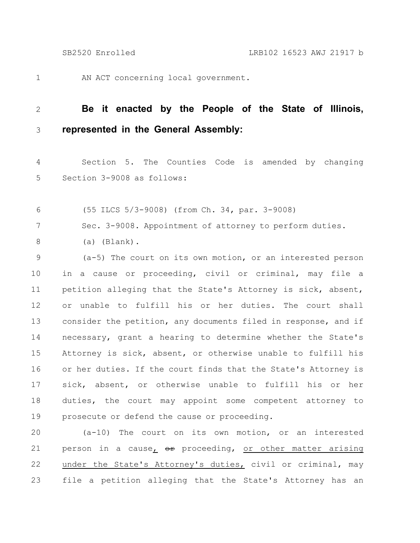AN ACT concerning local government. 1

## **Be it enacted by the People of the State of Illinois, represented in the General Assembly:** 2 3

Section 5. The Counties Code is amended by changing Section 3-9008 as follows: 4 5

(55 ILCS 5/3-9008) (from Ch. 34, par. 3-9008) 6

Sec. 3-9008. Appointment of attorney to perform duties. 7

(a) (Blank). 8

(a-5) The court on its own motion, or an interested person in a cause or proceeding, civil or criminal, may file a petition alleging that the State's Attorney is sick, absent, or unable to fulfill his or her duties. The court shall consider the petition, any documents filed in response, and if necessary, grant a hearing to determine whether the State's Attorney is sick, absent, or otherwise unable to fulfill his or her duties. If the court finds that the State's Attorney is sick, absent, or otherwise unable to fulfill his or her duties, the court may appoint some competent attorney to prosecute or defend the cause or proceeding. 9 10 11 12 13 14 15 16 17 18 19

(a-10) The court on its own motion, or an interested person in a cause, or proceeding, or other matter arising under the State's Attorney's duties, civil or criminal, may file a petition alleging that the State's Attorney has an 20 21 22 23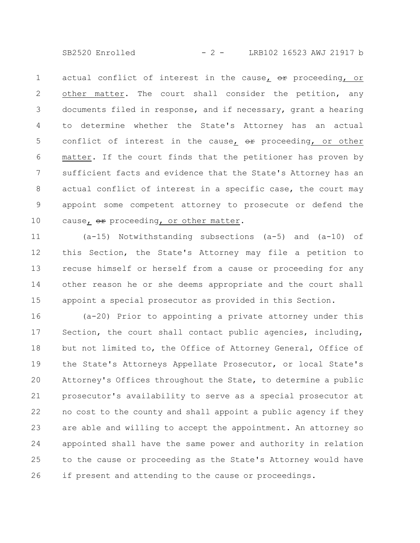SB2520 Enrolled - 2 - LRB102 16523 AWJ 21917 b

actual conflict of interest in the cause,  $\Theta$ ref proceeding, or other matter. The court shall consider the petition, any documents filed in response, and if necessary, grant a hearing to determine whether the State's Attorney has an actual conflict of interest in the cause,  $er$  proceeding, or other matter. If the court finds that the petitioner has proven by sufficient facts and evidence that the State's Attorney has an actual conflict of interest in a specific case, the court may appoint some competent attorney to prosecute or defend the cause, or proceeding, or other matter. 1 2 3 4 5 6 7 8 9 10

(a-15) Notwithstanding subsections (a-5) and (a-10) of this Section, the State's Attorney may file a petition to recuse himself or herself from a cause or proceeding for any other reason he or she deems appropriate and the court shall appoint a special prosecutor as provided in this Section. 11 12 13 14 15

(a-20) Prior to appointing a private attorney under this Section, the court shall contact public agencies, including, but not limited to, the Office of Attorney General, Office of the State's Attorneys Appellate Prosecutor, or local State's Attorney's Offices throughout the State, to determine a public prosecutor's availability to serve as a special prosecutor at no cost to the county and shall appoint a public agency if they are able and willing to accept the appointment. An attorney so appointed shall have the same power and authority in relation to the cause or proceeding as the State's Attorney would have if present and attending to the cause or proceedings. 16 17 18 19 20 21 22 23 24 25 26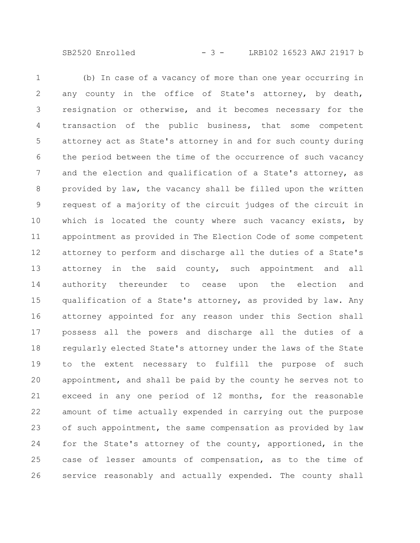SB2520 Enrolled - 3 - LRB102 16523 AWJ 21917 b

(b) In case of a vacancy of more than one year occurring in any county in the office of State's attorney, by death, resignation or otherwise, and it becomes necessary for the transaction of the public business, that some competent attorney act as State's attorney in and for such county during the period between the time of the occurrence of such vacancy and the election and qualification of a State's attorney, as provided by law, the vacancy shall be filled upon the written request of a majority of the circuit judges of the circuit in which is located the county where such vacancy exists, by appointment as provided in The Election Code of some competent attorney to perform and discharge all the duties of a State's attorney in the said county, such appointment and all authority thereunder to cease upon the election and qualification of a State's attorney, as provided by law. Any attorney appointed for any reason under this Section shall possess all the powers and discharge all the duties of a regularly elected State's attorney under the laws of the State to the extent necessary to fulfill the purpose of such appointment, and shall be paid by the county he serves not to exceed in any one period of 12 months, for the reasonable amount of time actually expended in carrying out the purpose of such appointment, the same compensation as provided by law for the State's attorney of the county, apportioned, in the case of lesser amounts of compensation, as to the time of service reasonably and actually expended. The county shall 1 2 3 4 5 6 7 8 9 10 11 12 13 14 15 16 17 18 19 20 21 22 23 24 25 26